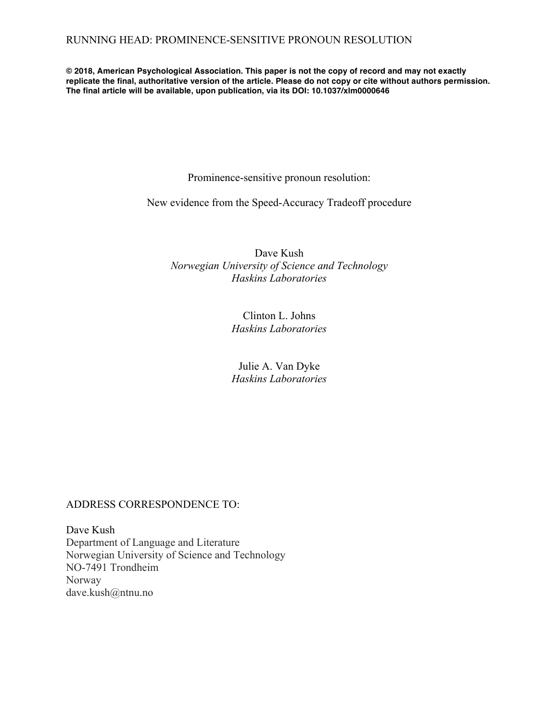**© 2018, American Psychological Association. This paper is not the copy of record and may not exactly replicate the final, authoritative version of the article. Please do not copy or cite without authors permission. The final article will be available, upon publication, via its DOI: 10.1037/xlm0000646**

Prominence-sensitive pronoun resolution:

New evidence from the Speed-Accuracy Tradeoff procedure

Dave Kush *Norwegian University of Science and Technology Haskins Laboratories*

> Clinton L. Johns *Haskins Laboratories*

> Julie A. Van Dyke *Haskins Laboratories*

# ADDRESS CORRESPONDENCE TO:

Dave Kush Department of Language and Literature Norwegian University of Science and Technology NO-7491 Trondheim Norway dave.kush@ntnu.no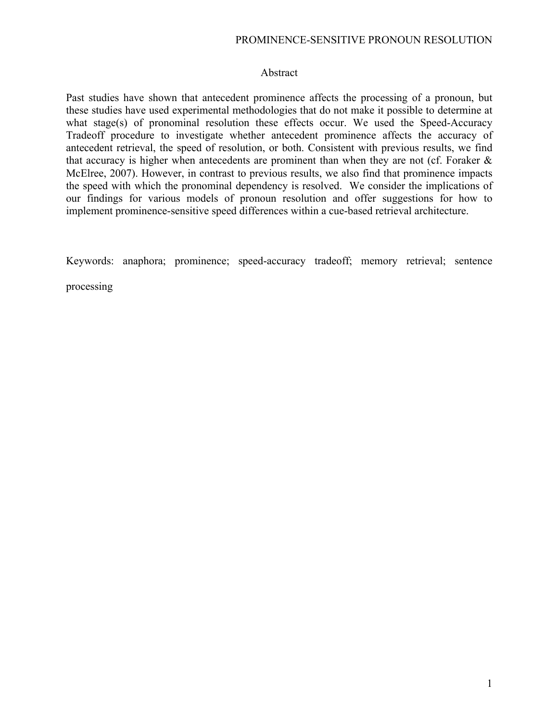## PROMINENCE-SENSITIVE PRONOUN RESOLUTION

### Abstract

Past studies have shown that antecedent prominence affects the processing of a pronoun, but these studies have used experimental methodologies that do not make it possible to determine at what stage(s) of pronominal resolution these effects occur. We used the Speed-Accuracy Tradeoff procedure to investigate whether antecedent prominence affects the accuracy of antecedent retrieval, the speed of resolution, or both. Consistent with previous results, we find that accuracy is higher when antecedents are prominent than when they are not (cf. Foraker  $\&$ McElree, 2007). However, in contrast to previous results, we also find that prominence impacts the speed with which the pronominal dependency is resolved. We consider the implications of our findings for various models of pronoun resolution and offer suggestions for how to implement prominence-sensitive speed differences within a cue-based retrieval architecture.

Keywords: anaphora; prominence; speed-accuracy tradeoff; memory retrieval; sentence

processing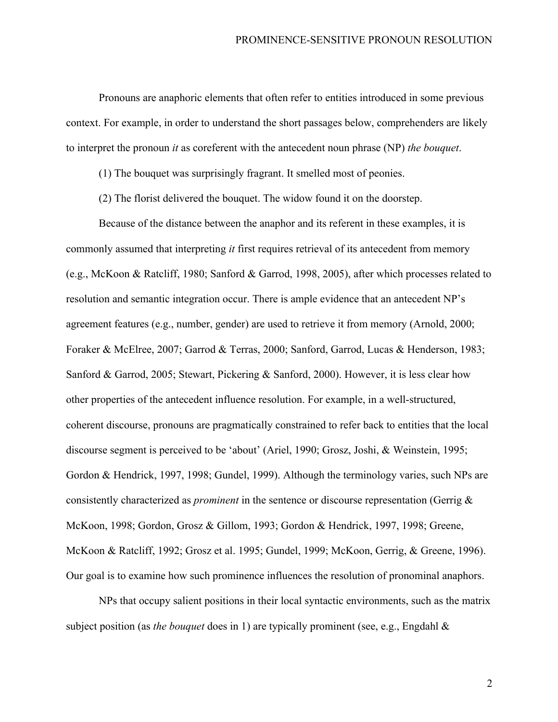Pronouns are anaphoric elements that often refer to entities introduced in some previous context. For example, in order to understand the short passages below, comprehenders are likely to interpret the pronoun *it* as coreferent with the antecedent noun phrase (NP) *the bouquet*.

(1) The bouquet was surprisingly fragrant. It smelled most of peonies.

(2) The florist delivered the bouquet. The widow found it on the doorstep.

Because of the distance between the anaphor and its referent in these examples, it is commonly assumed that interpreting *it* first requires retrieval of its antecedent from memory (e.g., McKoon & Ratcliff, 1980; Sanford & Garrod, 1998, 2005), after which processes related to resolution and semantic integration occur. There is ample evidence that an antecedent NP's agreement features (e.g., number, gender) are used to retrieve it from memory (Arnold, 2000; Foraker & McElree, 2007; Garrod & Terras, 2000; Sanford, Garrod, Lucas & Henderson, 1983; Sanford & Garrod, 2005; Stewart, Pickering & Sanford, 2000). However, it is less clear how other properties of the antecedent influence resolution. For example, in a well-structured, coherent discourse, pronouns are pragmatically constrained to refer back to entities that the local discourse segment is perceived to be 'about' (Ariel, 1990; Grosz, Joshi, & Weinstein, 1995; Gordon & Hendrick, 1997, 1998; Gundel, 1999). Although the terminology varies, such NPs are consistently characterized as *prominent* in the sentence or discourse representation (Gerrig & McKoon, 1998; Gordon, Grosz & Gillom, 1993; Gordon & Hendrick, 1997, 1998; Greene, McKoon & Ratcliff, 1992; Grosz et al. 1995; Gundel, 1999; McKoon, Gerrig, & Greene, 1996). Our goal is to examine how such prominence influences the resolution of pronominal anaphors.

NPs that occupy salient positions in their local syntactic environments, such as the matrix subject position (as *the bouquet* does in 1) are typically prominent (see, e.g., Engdahl &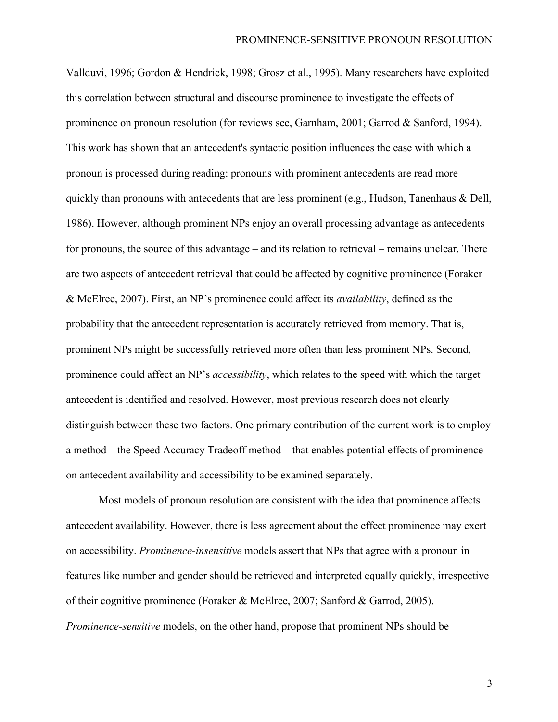Vallduvi, 1996; Gordon & Hendrick, 1998; Grosz et al., 1995). Many researchers have exploited this correlation between structural and discourse prominence to investigate the effects of prominence on pronoun resolution (for reviews see, Garnham, 2001; Garrod & Sanford, 1994). This work has shown that an antecedent's syntactic position influences the ease with which a pronoun is processed during reading: pronouns with prominent antecedents are read more quickly than pronouns with antecedents that are less prominent (e.g., Hudson, Tanenhaus & Dell, 1986). However, although prominent NPs enjoy an overall processing advantage as antecedents for pronouns, the source of this advantage – and its relation to retrieval – remains unclear. There are two aspects of antecedent retrieval that could be affected by cognitive prominence (Foraker & McElree, 2007). First, an NP's prominence could affect its *availability*, defined as the probability that the antecedent representation is accurately retrieved from memory. That is, prominent NPs might be successfully retrieved more often than less prominent NPs. Second, prominence could affect an NP's *accessibility*, which relates to the speed with which the target antecedent is identified and resolved. However, most previous research does not clearly distinguish between these two factors. One primary contribution of the current work is to employ a method – the Speed Accuracy Tradeoff method – that enables potential effects of prominence on antecedent availability and accessibility to be examined separately.

Most models of pronoun resolution are consistent with the idea that prominence affects antecedent availability. However, there is less agreement about the effect prominence may exert on accessibility. *Prominence-insensitive* models assert that NPs that agree with a pronoun in features like number and gender should be retrieved and interpreted equally quickly, irrespective of their cognitive prominence (Foraker & McElree, 2007; Sanford & Garrod, 2005). *Prominence-sensitive* models, on the other hand, propose that prominent NPs should be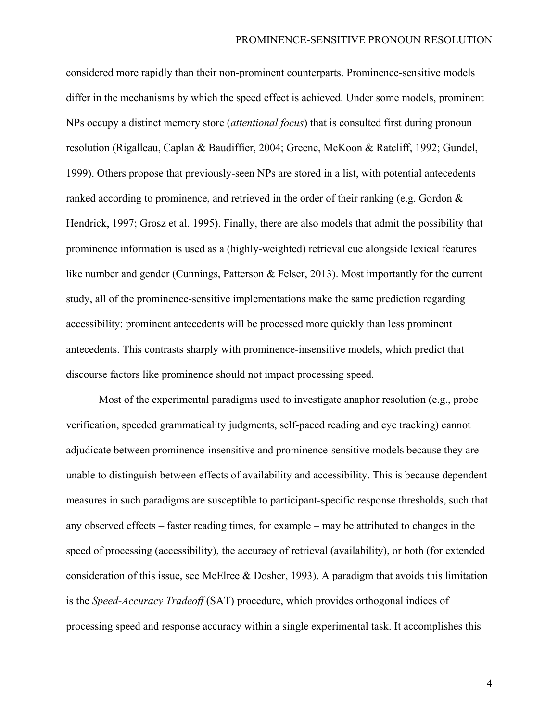considered more rapidly than their non-prominent counterparts. Prominence-sensitive models differ in the mechanisms by which the speed effect is achieved. Under some models, prominent NPs occupy a distinct memory store (*attentional focus*) that is consulted first during pronoun resolution (Rigalleau, Caplan & Baudiffier, 2004; Greene, McKoon & Ratcliff, 1992; Gundel, 1999). Others propose that previously-seen NPs are stored in a list, with potential antecedents ranked according to prominence, and retrieved in the order of their ranking (e.g. Gordon & Hendrick, 1997; Grosz et al. 1995). Finally, there are also models that admit the possibility that prominence information is used as a (highly-weighted) retrieval cue alongside lexical features like number and gender (Cunnings, Patterson & Felser, 2013). Most importantly for the current study, all of the prominence-sensitive implementations make the same prediction regarding accessibility: prominent antecedents will be processed more quickly than less prominent antecedents. This contrasts sharply with prominence-insensitive models, which predict that discourse factors like prominence should not impact processing speed.

Most of the experimental paradigms used to investigate anaphor resolution (e.g., probe verification, speeded grammaticality judgments, self-paced reading and eye tracking) cannot adjudicate between prominence-insensitive and prominence-sensitive models because they are unable to distinguish between effects of availability and accessibility. This is because dependent measures in such paradigms are susceptible to participant-specific response thresholds, such that any observed effects – faster reading times, for example – may be attributed to changes in the speed of processing (accessibility), the accuracy of retrieval (availability), or both (for extended consideration of this issue, see McElree & Dosher, 1993). A paradigm that avoids this limitation is the *Speed-Accuracy Tradeoff* (SAT) procedure, which provides orthogonal indices of processing speed and response accuracy within a single experimental task. It accomplishes this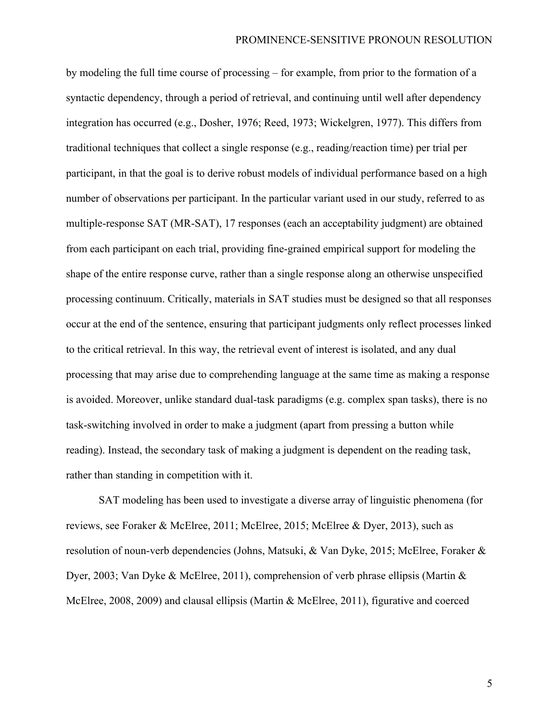by modeling the full time course of processing – for example, from prior to the formation of a syntactic dependency, through a period of retrieval, and continuing until well after dependency integration has occurred (e.g., Dosher, 1976; Reed, 1973; Wickelgren, 1977). This differs from traditional techniques that collect a single response (e.g., reading/reaction time) per trial per participant, in that the goal is to derive robust models of individual performance based on a high number of observations per participant. In the particular variant used in our study, referred to as multiple-response SAT (MR-SAT), 17 responses (each an acceptability judgment) are obtained from each participant on each trial, providing fine-grained empirical support for modeling the shape of the entire response curve, rather than a single response along an otherwise unspecified processing continuum. Critically, materials in SAT studies must be designed so that all responses occur at the end of the sentence, ensuring that participant judgments only reflect processes linked to the critical retrieval. In this way, the retrieval event of interest is isolated, and any dual processing that may arise due to comprehending language at the same time as making a response is avoided. Moreover, unlike standard dual-task paradigms (e.g. complex span tasks), there is no task-switching involved in order to make a judgment (apart from pressing a button while reading). Instead, the secondary task of making a judgment is dependent on the reading task, rather than standing in competition with it.

SAT modeling has been used to investigate a diverse array of linguistic phenomena (for reviews, see Foraker & McElree, 2011; McElree, 2015; McElree & Dyer, 2013), such as resolution of noun-verb dependencies (Johns, Matsuki, & Van Dyke, 2015; McElree, Foraker & Dyer, 2003; Van Dyke & McElree, 2011), comprehension of verb phrase ellipsis (Martin & McElree, 2008, 2009) and clausal ellipsis (Martin & McElree, 2011), figurative and coerced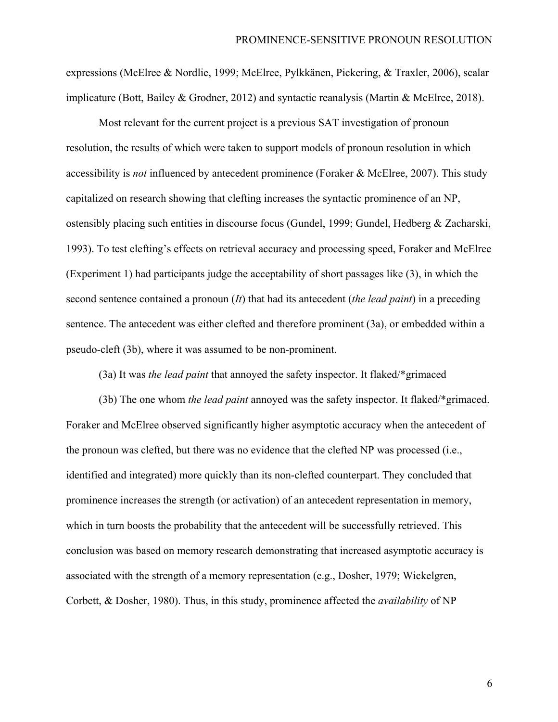expressions (McElree & Nordlie, 1999; McElree, Pylkkänen, Pickering, & Traxler, 2006), scalar implicature (Bott, Bailey & Grodner, 2012) and syntactic reanalysis (Martin & McElree, 2018).

Most relevant for the current project is a previous SAT investigation of pronoun resolution, the results of which were taken to support models of pronoun resolution in which accessibility is *not* influenced by antecedent prominence (Foraker & McElree, 2007). This study capitalized on research showing that clefting increases the syntactic prominence of an NP, ostensibly placing such entities in discourse focus (Gundel, 1999; Gundel, Hedberg & Zacharski, 1993). To test clefting's effects on retrieval accuracy and processing speed, Foraker and McElree (Experiment 1) had participants judge the acceptability of short passages like (3), in which the second sentence contained a pronoun (*It*) that had its antecedent (*the lead paint*) in a preceding sentence. The antecedent was either clefted and therefore prominent (3a), or embedded within a pseudo-cleft (3b), where it was assumed to be non-prominent.

(3a) It was *the lead paint* that annoyed the safety inspector. It flaked/\*grimaced

(3b) The one whom *the lead paint* annoyed was the safety inspector. It flaked/\*grimaced. Foraker and McElree observed significantly higher asymptotic accuracy when the antecedent of the pronoun was clefted, but there was no evidence that the clefted NP was processed (i.e., identified and integrated) more quickly than its non-clefted counterpart. They concluded that prominence increases the strength (or activation) of an antecedent representation in memory, which in turn boosts the probability that the antecedent will be successfully retrieved. This conclusion was based on memory research demonstrating that increased asymptotic accuracy is associated with the strength of a memory representation (e.g., Dosher, 1979; Wickelgren, Corbett, & Dosher, 1980). Thus, in this study, prominence affected the *availability* of NP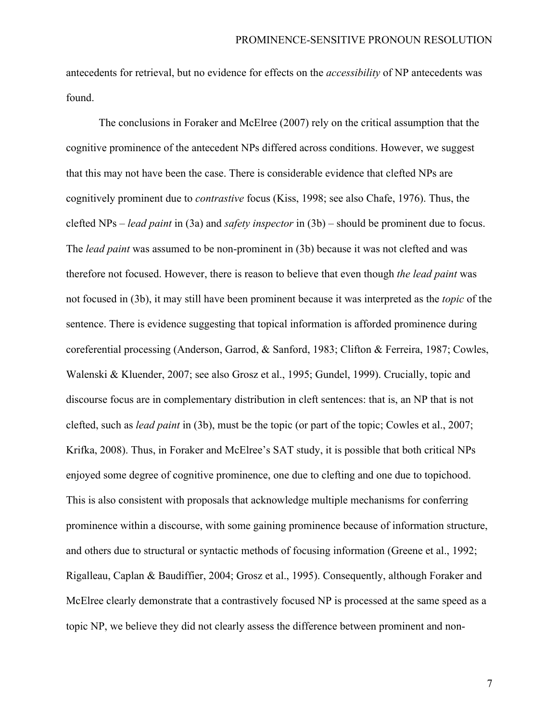antecedents for retrieval, but no evidence for effects on the *accessibility* of NP antecedents was found.

The conclusions in Foraker and McElree (2007) rely on the critical assumption that the cognitive prominence of the antecedent NPs differed across conditions. However, we suggest that this may not have been the case. There is considerable evidence that clefted NPs are cognitively prominent due to *contrastive* focus (Kiss, 1998; see also Chafe, 1976). Thus, the clefted NPs – *lead paint* in (3a) and *safety inspector* in (3b) – should be prominent due to focus. The *lead paint* was assumed to be non-prominent in (3b) because it was not clefted and was therefore not focused. However, there is reason to believe that even though *the lead paint* was not focused in (3b), it may still have been prominent because it was interpreted as the *topic* of the sentence. There is evidence suggesting that topical information is afforded prominence during coreferential processing (Anderson, Garrod, & Sanford, 1983; Clifton & Ferreira, 1987; Cowles, Walenski & Kluender, 2007; see also Grosz et al., 1995; Gundel, 1999). Crucially, topic and discourse focus are in complementary distribution in cleft sentences: that is, an NP that is not clefted, such as *lead paint* in (3b), must be the topic (or part of the topic; Cowles et al., 2007; Krifka, 2008). Thus, in Foraker and McElree's SAT study, it is possible that both critical NPs enjoyed some degree of cognitive prominence, one due to clefting and one due to topichood. This is also consistent with proposals that acknowledge multiple mechanisms for conferring prominence within a discourse, with some gaining prominence because of information structure, and others due to structural or syntactic methods of focusing information (Greene et al., 1992; Rigalleau, Caplan & Baudiffier, 2004; Grosz et al., 1995). Consequently, although Foraker and McElree clearly demonstrate that a contrastively focused NP is processed at the same speed as a topic NP, we believe they did not clearly assess the difference between prominent and non-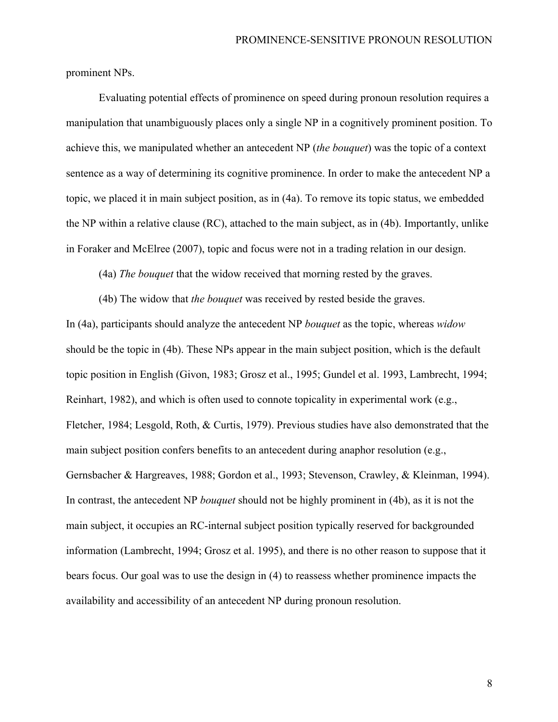prominent NPs.

Evaluating potential effects of prominence on speed during pronoun resolution requires a manipulation that unambiguously places only a single NP in a cognitively prominent position. To achieve this, we manipulated whether an antecedent NP (*the bouquet*) was the topic of a context sentence as a way of determining its cognitive prominence. In order to make the antecedent NP a topic, we placed it in main subject position, as in (4a). To remove its topic status, we embedded the NP within a relative clause (RC), attached to the main subject, as in (4b). Importantly, unlike in Foraker and McElree (2007), topic and focus were not in a trading relation in our design.

(4a) *The bouquet* that the widow received that morning rested by the graves.

(4b) The widow that *the bouquet* was received by rested beside the graves. In (4a), participants should analyze the antecedent NP *bouquet* as the topic, whereas *widow* should be the topic in (4b). These NPs appear in the main subject position, which is the default topic position in English (Givon, 1983; Grosz et al., 1995; Gundel et al. 1993, Lambrecht, 1994; Reinhart, 1982), and which is often used to connote topicality in experimental work (e.g., Fletcher, 1984; Lesgold, Roth, & Curtis, 1979). Previous studies have also demonstrated that the main subject position confers benefits to an antecedent during anaphor resolution (e.g., Gernsbacher & Hargreaves, 1988; Gordon et al., 1993; Stevenson, Crawley, & Kleinman, 1994). In contrast, the antecedent NP *bouquet* should not be highly prominent in (4b), as it is not the main subject, it occupies an RC-internal subject position typically reserved for backgrounded information (Lambrecht, 1994; Grosz et al. 1995), and there is no other reason to suppose that it bears focus. Our goal was to use the design in (4) to reassess whether prominence impacts the availability and accessibility of an antecedent NP during pronoun resolution.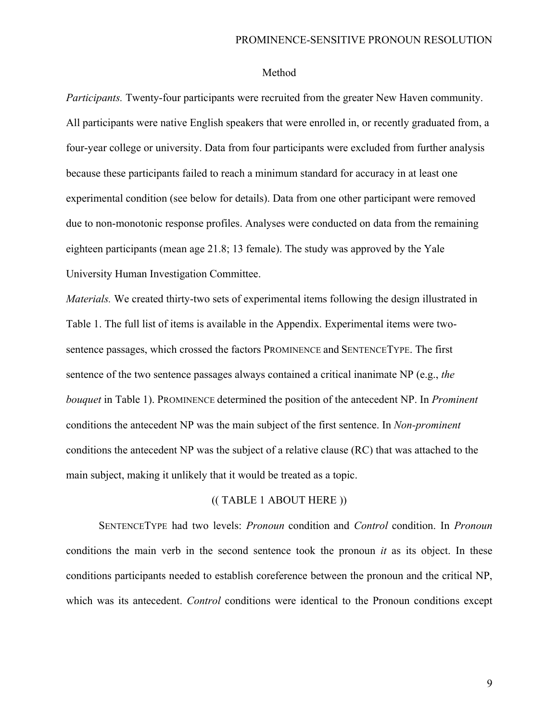### Method

*Participants.* Twenty-four participants were recruited from the greater New Haven community. All participants were native English speakers that were enrolled in, or recently graduated from, a four-year college or university. Data from four participants were excluded from further analysis because these participants failed to reach a minimum standard for accuracy in at least one experimental condition (see below for details). Data from one other participant were removed due to non-monotonic response profiles. Analyses were conducted on data from the remaining eighteen participants (mean age 21.8; 13 female). The study was approved by the Yale University Human Investigation Committee.

*Materials.* We created thirty-two sets of experimental items following the design illustrated in Table 1. The full list of items is available in the Appendix. Experimental items were twosentence passages, which crossed the factors PROMINENCE and SENTENCETYPE. The first sentence of the two sentence passages always contained a critical inanimate NP (e.g., *the bouquet* in Table 1). PROMINENCE determined the position of the antecedent NP. In *Prominent*  conditions the antecedent NP was the main subject of the first sentence. In *Non-prominent*  conditions the antecedent NP was the subject of a relative clause (RC) that was attached to the main subject, making it unlikely that it would be treated as a topic.

### (( TABLE 1 ABOUT HERE ))

SENTENCETYPE had two levels: *Pronoun* condition and *Control* condition. In *Pronoun*  conditions the main verb in the second sentence took the pronoun *it* as its object. In these conditions participants needed to establish coreference between the pronoun and the critical NP, which was its antecedent. *Control* conditions were identical to the Pronoun conditions except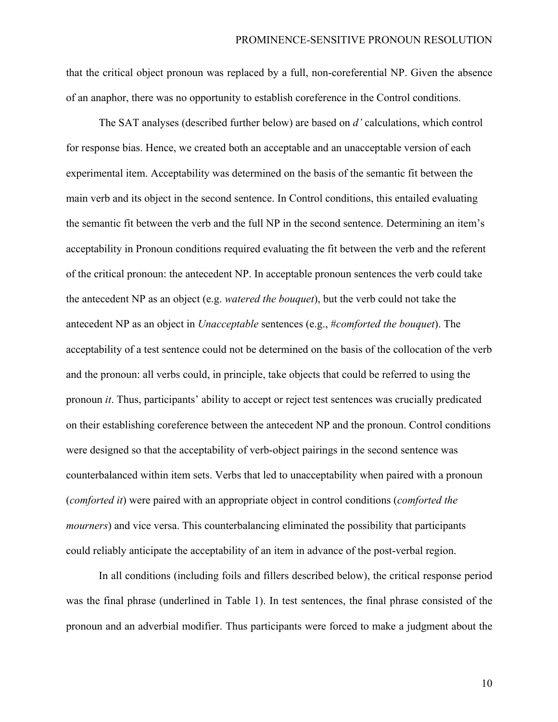that the critical object pronoun was replaced by a full, non-coreferential NP. Given the absence of an anaphor, there was no opportunity to establish coreference in the Control conditions.

The SAT analyses (described further below) are based on *d'* calculations, which control for response bias. Hence, we created both an acceptable and an unacceptable version of each experimental item. Acceptability was determined on the basis of the semantic fit between the main verb and its object in the second sentence. In Control conditions, this entailed evaluating the semantic fit between the verb and the full NP in the second sentence. Determining an item's acceptability in Pronoun conditions required evaluating the fit between the verb and the referent of the critical pronoun: the antecedent NP. In acceptable pronoun sentences the verb could take the antecedent NP as an object (e.g. *watered the bouquet*), but the verb could not take the antecedent NP as an object in *Unacceptable* sentences (e.g., #*comforted the bouquet*). The acceptability of a test sentence could not be determined on the basis of the collocation of the verb and the pronoun: all verbs could, in principle, take objects that could be referred to using the pronoun *it*. Thus, participants' ability to accept or reject test sentences was crucially predicated on their establishing coreference between the antecedent NP and the pronoun. Control conditions were designed so that the acceptability of verb-object pairings in the second sentence was counterbalanced within item sets. Verbs that led to unacceptability when paired with a pronoun (*comforted it*) were paired with an appropriate object in control conditions (*comforted the mourners*) and vice versa. This counterbalancing eliminated the possibility that participants could reliably anticipate the acceptability of an item in advance of the post-verbal region.

In all conditions (including foils and fillers described below), the critical response period was the final phrase (underlined in Table 1). In test sentences, the final phrase consisted of the pronoun and an adverbial modifier. Thus participants were forced to make a judgment about the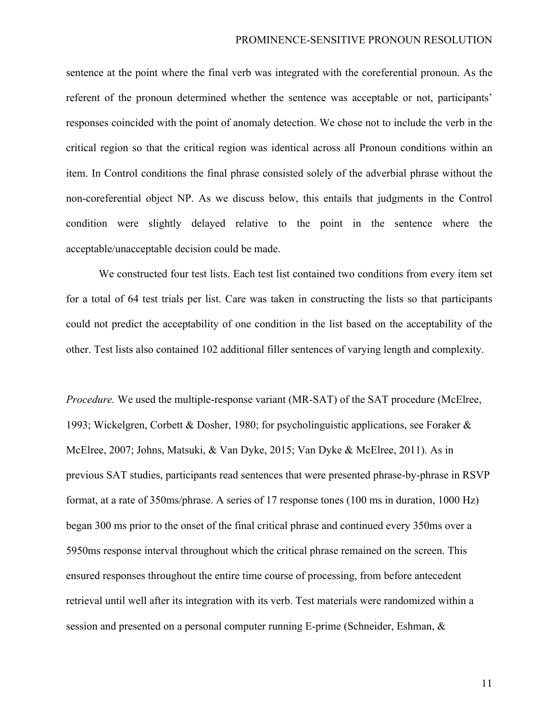sentence at the point where the final verb was integrated with the coreferential pronoun. As the referent of the pronoun determined whether the sentence was acceptable or not, participants' responses coincided with the point of anomaly detection. We chose not to include the verb in the critical region so that the critical region was identical across all Pronoun conditions within an item. In Control conditions the final phrase consisted solely of the adverbial phrase without the non-coreferential object NP. As we discuss below, this entails that judgments in the Control condition were slightly delayed relative to the point in the sentence where the acceptable/unacceptable decision could be made.

We constructed four test lists. Each test list contained two conditions from every item set for a total of 64 test trials per list. Care was taken in constructing the lists so that participants could not predict the acceptability of one condition in the list based on the acceptability of the other. Test lists also contained 102 additional filler sentences of varying length and complexity.

*Procedure.* We used the multiple-response variant (MR-SAT) of the SAT procedure (McElree, 1993; Wickelgren, Corbett & Dosher, 1980; for psycholinguistic applications, see Foraker & McElree, 2007; Johns, Matsuki, & Van Dyke, 2015; Van Dyke & McElree, 2011). As in previous SAT studies, participants read sentences that were presented phrase-by-phrase in RSVP format, at a rate of 350ms/phrase. A series of 17 response tones (100 ms in duration, 1000 Hz) began 300 ms prior to the onset of the final critical phrase and continued every 350ms over a 5950ms response interval throughout which the critical phrase remained on the screen. This ensured responses throughout the entire time course of processing, from before antecedent retrieval until well after its integration with its verb. Test materials were randomized within a session and presented on a personal computer running E-prime (Schneider, Eshman, &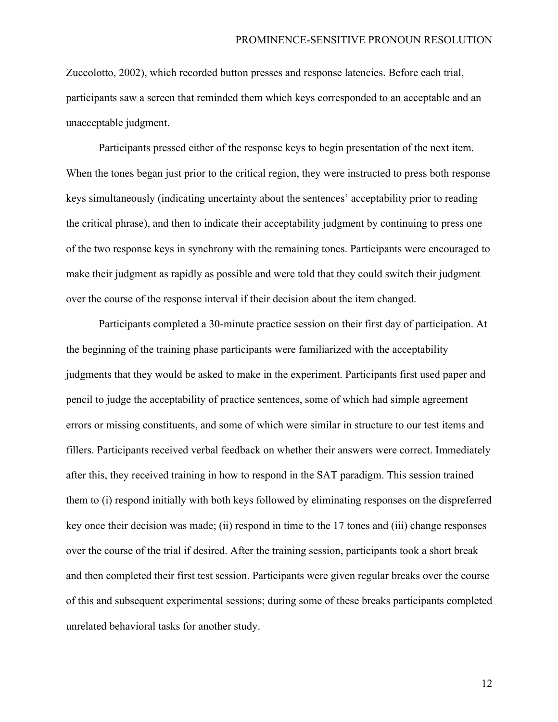Zuccolotto, 2002), which recorded button presses and response latencies. Before each trial, participants saw a screen that reminded them which keys corresponded to an acceptable and an unacceptable judgment.

Participants pressed either of the response keys to begin presentation of the next item. When the tones began just prior to the critical region, they were instructed to press both response keys simultaneously (indicating uncertainty about the sentences' acceptability prior to reading the critical phrase), and then to indicate their acceptability judgment by continuing to press one of the two response keys in synchrony with the remaining tones. Participants were encouraged to make their judgment as rapidly as possible and were told that they could switch their judgment over the course of the response interval if their decision about the item changed.

Participants completed a 30-minute practice session on their first day of participation. At the beginning of the training phase participants were familiarized with the acceptability judgments that they would be asked to make in the experiment. Participants first used paper and pencil to judge the acceptability of practice sentences, some of which had simple agreement errors or missing constituents, and some of which were similar in structure to our test items and fillers. Participants received verbal feedback on whether their answers were correct. Immediately after this, they received training in how to respond in the SAT paradigm. This session trained them to (i) respond initially with both keys followed by eliminating responses on the dispreferred key once their decision was made; (ii) respond in time to the 17 tones and (iii) change responses over the course of the trial if desired. After the training session, participants took a short break and then completed their first test session. Participants were given regular breaks over the course of this and subsequent experimental sessions; during some of these breaks participants completed unrelated behavioral tasks for another study.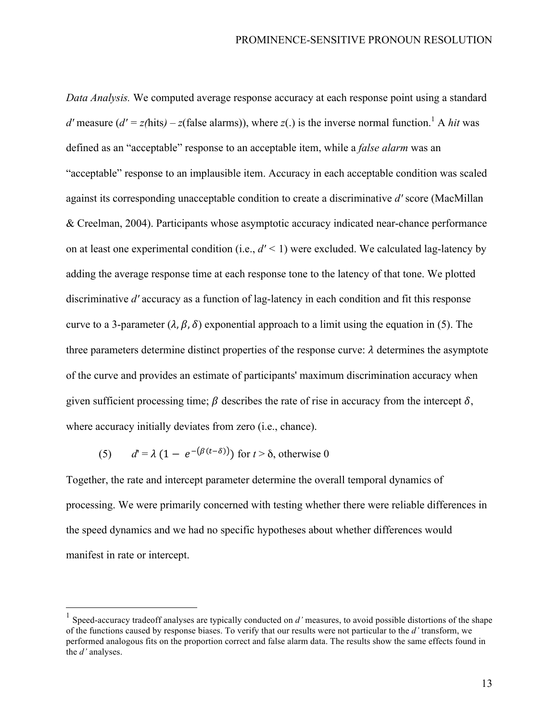*Data Analysis.* We computed average response accuracy at each response point using a standard *d'* measure ( $d' = z$ (hits) – *z*(false alarms)), where *z*(.) is the inverse normal function.<sup>1</sup> A *hit* was defined as an "acceptable" response to an acceptable item, while a *false alarm* was an "acceptable" response to an implausible item. Accuracy in each acceptable condition was scaled against its corresponding unacceptable condition to create a discriminative *d'* score (MacMillan & Creelman, 2004). Participants whose asymptotic accuracy indicated near-chance performance on at least one experimental condition (i.e.,  $d' < 1$ ) were excluded. We calculated lag-latency by adding the average response time at each response tone to the latency of that tone. We plotted discriminative *d'* accuracy as a function of lag-latency in each condition and fit this response curve to a 3-parameter  $(\lambda, \beta, \delta)$  exponential approach to a limit using the equation in (5). The three parameters determine distinct properties of the response curve:  $\lambda$  determines the asymptote of the curve and provides an estimate of participants' maximum discrimination accuracy when given sufficient processing time;  $\beta$  describes the rate of rise in accuracy from the intercept  $\delta$ , where accuracy initially deviates from zero (i.e., chance).

(5)  $d' = \lambda (1 - e^{-(\beta(t-\delta))})$  for  $t > \delta$ , otherwise 0

Together, the rate and intercept parameter determine the overall temporal dynamics of processing. We were primarily concerned with testing whether there were reliable differences in the speed dynamics and we had no specific hypotheses about whether differences would manifest in rate or intercept.

 <sup>1</sup> Speed-accuracy tradeoff analyses are typically conducted on *d'* measures, to avoid possible distortions of the shape of the functions caused by response biases. To verify that our results were not particular to the *d'* transform, we performed analogous fits on the proportion correct and false alarm data. The results show the same effects found in the *d'* analyses.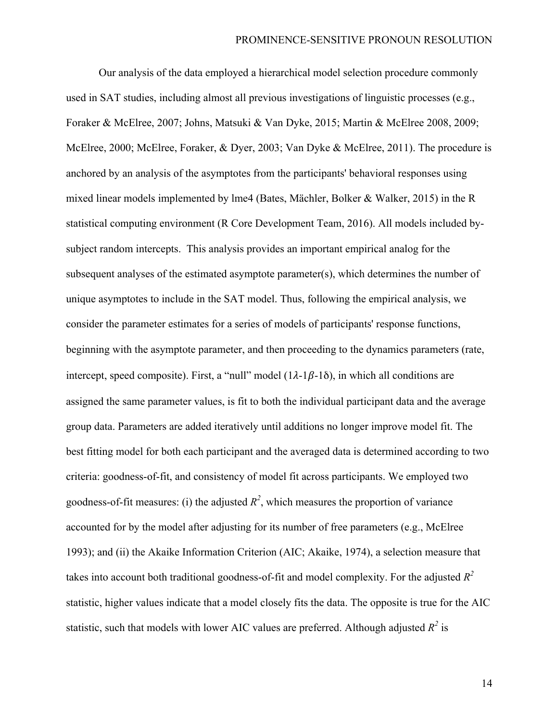Our analysis of the data employed a hierarchical model selection procedure commonly used in SAT studies, including almost all previous investigations of linguistic processes (e.g., Foraker & McElree, 2007; Johns, Matsuki & Van Dyke, 2015; Martin & McElree 2008, 2009; McElree, 2000; McElree, Foraker, & Dyer, 2003; Van Dyke & McElree, 2011). The procedure is anchored by an analysis of the asymptotes from the participants' behavioral responses using mixed linear models implemented by lme4 (Bates, Mächler, Bolker & Walker, 2015) in the R statistical computing environment (R Core Development Team, 2016). All models included bysubject random intercepts. This analysis provides an important empirical analog for the subsequent analyses of the estimated asymptote parameter(s), which determines the number of unique asymptotes to include in the SAT model. Thus, following the empirical analysis, we consider the parameter estimates for a series of models of participants' response functions, beginning with the asymptote parameter, and then proceeding to the dynamics parameters (rate, intercept, speed composite). First, a "null" model  $(1\lambda - 1\beta - 1\delta)$ , in which all conditions are assigned the same parameter values, is fit to both the individual participant data and the average group data. Parameters are added iteratively until additions no longer improve model fit. The best fitting model for both each participant and the averaged data is determined according to two criteria: goodness-of-fit, and consistency of model fit across participants. We employed two goodness-of-fit measures: (i) the adjusted  $R^2$ , which measures the proportion of variance accounted for by the model after adjusting for its number of free parameters (e.g., McElree 1993); and (ii) the Akaike Information Criterion (AIC; Akaike, 1974), a selection measure that takes into account both traditional goodness-of-fit and model complexity. For the adjusted  $R^2$ statistic, higher values indicate that a model closely fits the data. The opposite is true for the AIC statistic, such that models with lower AIC values are preferred. Although adjusted  $R^2$  is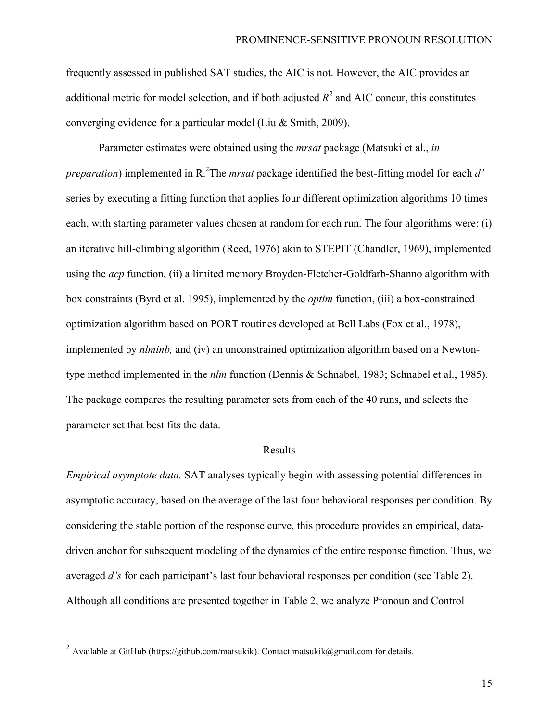frequently assessed in published SAT studies, the AIC is not. However, the AIC provides an additional metric for model selection, and if both adjusted  $R^2$  and AIC concur, this constitutes converging evidence for a particular model (Liu & Smith, 2009).

Parameter estimates were obtained using the *mrsat* package (Matsuki et al., *in preparation*) implemented in R. 2 The *mrsat* package identified the best-fitting model for each *d'*  series by executing a fitting function that applies four different optimization algorithms 10 times each, with starting parameter values chosen at random for each run. The four algorithms were: (i) an iterative hill-climbing algorithm (Reed, 1976) akin to STEPIT (Chandler, 1969), implemented using the *acp* function, (ii) a limited memory Broyden-Fletcher-Goldfarb-Shanno algorithm with box constraints (Byrd et al. 1995), implemented by the *optim* function, (iii) a box-constrained optimization algorithm based on PORT routines developed at Bell Labs (Fox et al., 1978), implemented by *nlminb,* and (iv) an unconstrained optimization algorithm based on a Newtontype method implemented in the *nlm* function (Dennis & Schnabel, 1983; Schnabel et al., 1985). The package compares the resulting parameter sets from each of the 40 runs, and selects the parameter set that best fits the data.

#### Results

*Empirical asymptote data.* SAT analyses typically begin with assessing potential differences in asymptotic accuracy, based on the average of the last four behavioral responses per condition. By considering the stable portion of the response curve, this procedure provides an empirical, datadriven anchor for subsequent modeling of the dynamics of the entire response function. Thus, we averaged *d's* for each participant's last four behavioral responses per condition (see Table 2). Although all conditions are presented together in Table 2, we analyze Pronoun and Control

<sup>&</sup>lt;sup>2</sup> Available at GitHub (https://github.com/matsukik). Contact matsukik@gmail.com for details.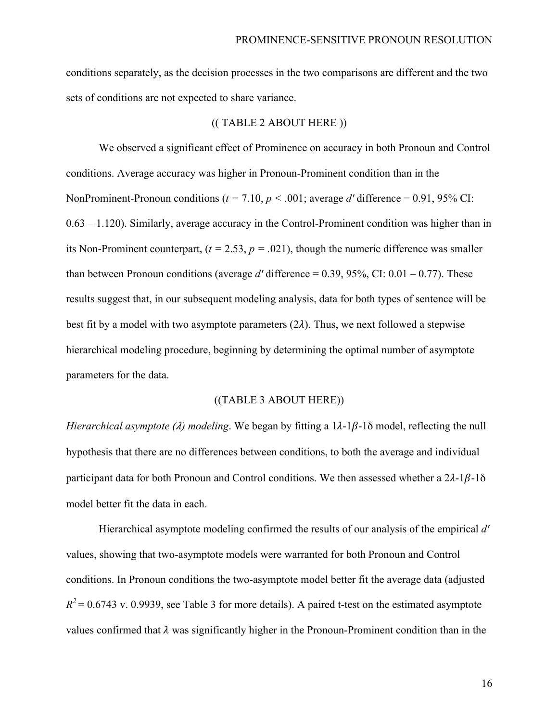conditions separately, as the decision processes in the two comparisons are different and the two sets of conditions are not expected to share variance.

#### (( TABLE 2 ABOUT HERE ))

We observed a significant effect of Prominence on accuracy in both Pronoun and Control conditions. Average accuracy was higher in Pronoun-Prominent condition than in the NonProminent-Pronoun conditions ( $t = 7.10$ ,  $p < .001$ ; average *d'* difference = 0.91, 95% CI: 0.63 – 1.120). Similarly, average accuracy in the Control-Prominent condition was higher than in its Non-Prominent counterpart,  $(t = 2.53, p = .021)$ , though the numeric difference was smaller than between Pronoun conditions (average  $d'$  difference = 0.39, 95%, CI: 0.01 – 0.77). These results suggest that, in our subsequent modeling analysis, data for both types of sentence will be best fit by a model with two asymptote parameters  $(2\lambda)$ . Thus, we next followed a stepwise hierarchical modeling procedure, beginning by determining the optimal number of asymptote parameters for the data.

#### ((TABLE 3 ABOUT HERE))

*Hierarchical asymptote (* $\lambda$ *) modeling*. We began by fitting a  $1\lambda - 1\beta - 1\delta$  model, reflecting the null hypothesis that there are no differences between conditions, to both the average and individual participant data for both Pronoun and Control conditions. We then assessed whether a  $2\lambda$ -1 $\beta$ -1 $\delta$ model better fit the data in each.

Hierarchical asymptote modeling confirmed the results of our analysis of the empirical *d'* values, showing that two-asymptote models were warranted for both Pronoun and Control conditions. In Pronoun conditions the two-asymptote model better fit the average data (adjusted  $R^2$  = 0.6743 v. 0.9939, see Table 3 for more details). A paired t-test on the estimated asymptote values confirmed that  $\lambda$  was significantly higher in the Pronoun-Prominent condition than in the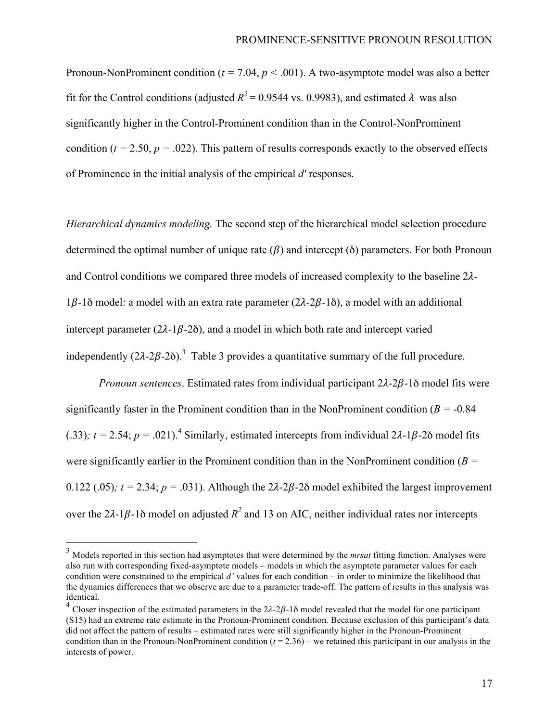Pronoun-NonProminent condition ( $t = 7.04$ ,  $p < .001$ ). A two-asymptote model was also a better fit for the Control conditions (adjusted  $R^2 = 0.9544$  vs. 0.9983), and estimated  $\lambda$  was also significantly higher in the Control-Prominent condition than in the Control-NonProminent condition ( $t = 2.50$ ,  $p = .022$ ). This pattern of results corresponds exactly to the observed effects of Prominence in the initial analysis of the empirical *d'* responses.

*Hierarchical dynamics modeling.* The second step of the hierarchical model selection procedure determined the optimal number of unique rate  $(\beta)$  and intercept ( $\delta$ ) parameters. For both Pronoun and Control conditions we compared three models of increased complexity to the baseline  $2\lambda$ - $1\beta$ -1 $\delta$  model: a model with an extra rate parameter (2 $\lambda$ -2 $\beta$ -1 $\delta$ ), a model with an additional intercept parameter ( $2\lambda - 1\beta - 2\delta$ ), and a model in which both rate and intercept varied independently  $(2\lambda - 2\beta - 2\delta)$ .<sup>3</sup> Table 3 provides a quantitative summary of the full procedure.

*Pronoun sentences.* Estimated rates from individual participant  $2\lambda - 2\beta - 1\delta$  model fits were significantly faster in the Prominent condition than in the NonProminent condition (*B =* -0.84 (.33);  $t = 2.54$ ;  $p = .021$ ).<sup>4</sup> Similarly, estimated intercepts from individual  $2\lambda$ -1 $\beta$ -2 $\delta$  model fits were significantly earlier in the Prominent condition than in the NonProminent condition (*B =*  0.122 (.05);  $t = 2.34$ ;  $p = .031$ ). Although the  $2\lambda - 2\beta - 2\delta$  model exhibited the largest improvement over the  $2\lambda - 1\beta - 1\delta$  model on adjusted  $R^2$  and 13 on AIC, neither individual rates nor intercepts

 <sup>3</sup> Models reported in this section had asymptotes that were determined by the *mrsat* fitting function. Analyses were also run with corresponding fixed-asymptote models – models in which the asymptote parameter values for each condition were constrained to the empirical *d'* values for each condition – in order to minimize the likelihood that the dynamics differences that we observe are due to a parameter trade-off. The pattern of results in this analysis was identical.

<sup>&</sup>lt;sup>4</sup> Closer inspection of the estimated parameters in the  $2\lambda - 2\beta - 1\delta$  model revealed that the model for one participant (S15) had an extreme rate estimate in the Pronoun-Prominent condition. Because exclusion of this participant's data did not affect the pattern of results – estimated rates were still significantly higher in the Pronoun-Prominent condition than in the Pronoun-NonProminent condition  $(t = 2.36)$  – we retained this participant in our analysis in the interests of power.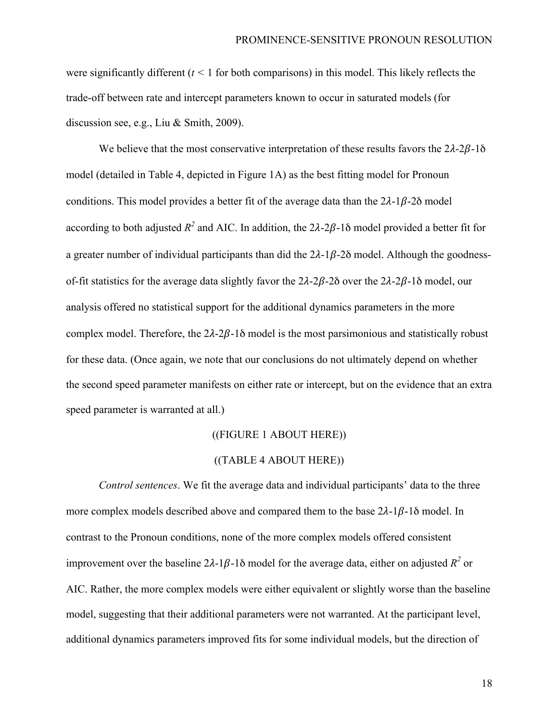were significantly different  $(t < 1$  for both comparisons) in this model. This likely reflects the trade-off between rate and intercept parameters known to occur in saturated models (for discussion see, e.g., Liu & Smith, 2009).

We believe that the most conservative interpretation of these results favors the  $2\lambda - 2\beta - 1\delta$ model (detailed in Table 4, depicted in Figure 1A) as the best fitting model for Pronoun conditions. This model provides a better fit of the average data than the  $2\lambda - 1\beta - 2\delta$  model according to both adjusted  $R^2$  and AIC. In addition, the  $2\lambda - 2\beta - 1\delta$  model provided a better fit for a greater number of individual participants than did the  $2\lambda - 1\beta - 2\delta$  model. Although the goodnessof-fit statistics for the average data slightly favor the  $2\lambda - 2\beta - 2\delta$  over the  $2\lambda - 2\beta - 1\delta$  model, our analysis offered no statistical support for the additional dynamics parameters in the more complex model. Therefore, the  $2\lambda - 2\beta - 1\delta$  model is the most parsimonious and statistically robust for these data. (Once again, we note that our conclusions do not ultimately depend on whether the second speed parameter manifests on either rate or intercept, but on the evidence that an extra speed parameter is warranted at all.)

#### ((FIGURE 1 ABOUT HERE))

#### ((TABLE 4 ABOUT HERE))

*Control sentences*. We fit the average data and individual participants' data to the three more complex models described above and compared them to the base  $2\lambda - 1\beta - 1\delta$  model. In contrast to the Pronoun conditions, none of the more complex models offered consistent improvement over the baseline  $2\lambda - \frac{1}{\beta} - \frac{1}{\alpha}$  model for the average data, either on adjusted  $R^2$  or AIC. Rather, the more complex models were either equivalent or slightly worse than the baseline model, suggesting that their additional parameters were not warranted. At the participant level, additional dynamics parameters improved fits for some individual models, but the direction of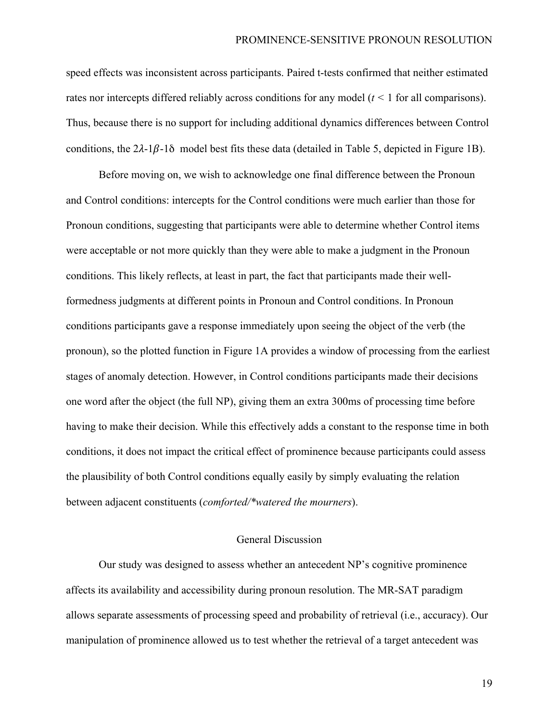speed effects was inconsistent across participants. Paired t-tests confirmed that neither estimated rates nor intercepts differed reliably across conditions for any model (*t <* 1 for all comparisons). Thus, because there is no support for including additional dynamics differences between Control conditions, the  $2\lambda - 1\beta - 1\delta$  model best fits these data (detailed in Table 5, depicted in Figure 1B).

Before moving on, we wish to acknowledge one final difference between the Pronoun and Control conditions: intercepts for the Control conditions were much earlier than those for Pronoun conditions, suggesting that participants were able to determine whether Control items were acceptable or not more quickly than they were able to make a judgment in the Pronoun conditions. This likely reflects, at least in part, the fact that participants made their wellformedness judgments at different points in Pronoun and Control conditions. In Pronoun conditions participants gave a response immediately upon seeing the object of the verb (the pronoun), so the plotted function in Figure 1A provides a window of processing from the earliest stages of anomaly detection. However, in Control conditions participants made their decisions one word after the object (the full NP), giving them an extra 300ms of processing time before having to make their decision. While this effectively adds a constant to the response time in both conditions, it does not impact the critical effect of prominence because participants could assess the plausibility of both Control conditions equally easily by simply evaluating the relation between adjacent constituents (*comforted/\*watered the mourners*).

#### General Discussion

Our study was designed to assess whether an antecedent NP's cognitive prominence affects its availability and accessibility during pronoun resolution. The MR-SAT paradigm allows separate assessments of processing speed and probability of retrieval (i.e., accuracy). Our manipulation of prominence allowed us to test whether the retrieval of a target antecedent was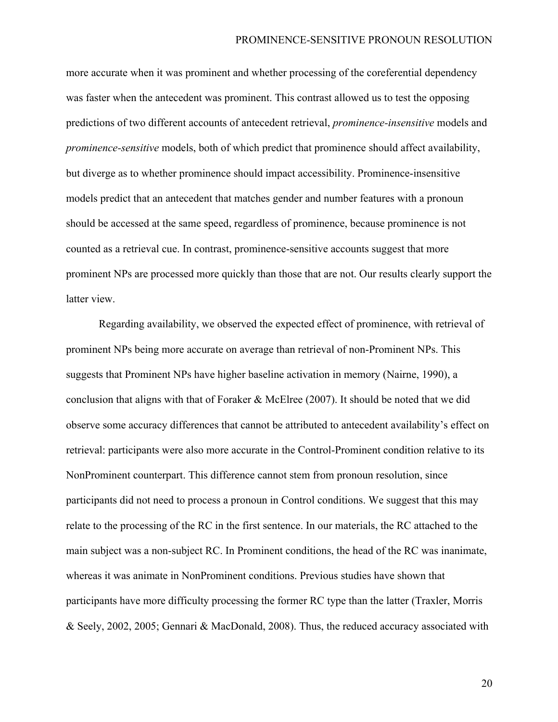more accurate when it was prominent and whether processing of the coreferential dependency was faster when the antecedent was prominent. This contrast allowed us to test the opposing predictions of two different accounts of antecedent retrieval, *prominence-insensitive* models and *prominence-sensitive* models, both of which predict that prominence should affect availability, but diverge as to whether prominence should impact accessibility. Prominence-insensitive models predict that an antecedent that matches gender and number features with a pronoun should be accessed at the same speed, regardless of prominence, because prominence is not counted as a retrieval cue. In contrast, prominence-sensitive accounts suggest that more prominent NPs are processed more quickly than those that are not. Our results clearly support the latter view.

Regarding availability, we observed the expected effect of prominence, with retrieval of prominent NPs being more accurate on average than retrieval of non-Prominent NPs. This suggests that Prominent NPs have higher baseline activation in memory (Nairne, 1990), a conclusion that aligns with that of Foraker & McElree (2007). It should be noted that we did observe some accuracy differences that cannot be attributed to antecedent availability's effect on retrieval: participants were also more accurate in the Control-Prominent condition relative to its NonProminent counterpart. This difference cannot stem from pronoun resolution, since participants did not need to process a pronoun in Control conditions. We suggest that this may relate to the processing of the RC in the first sentence. In our materials, the RC attached to the main subject was a non-subject RC. In Prominent conditions, the head of the RC was inanimate, whereas it was animate in NonProminent conditions. Previous studies have shown that participants have more difficulty processing the former RC type than the latter (Traxler, Morris & Seely, 2002, 2005; Gennari & MacDonald, 2008). Thus, the reduced accuracy associated with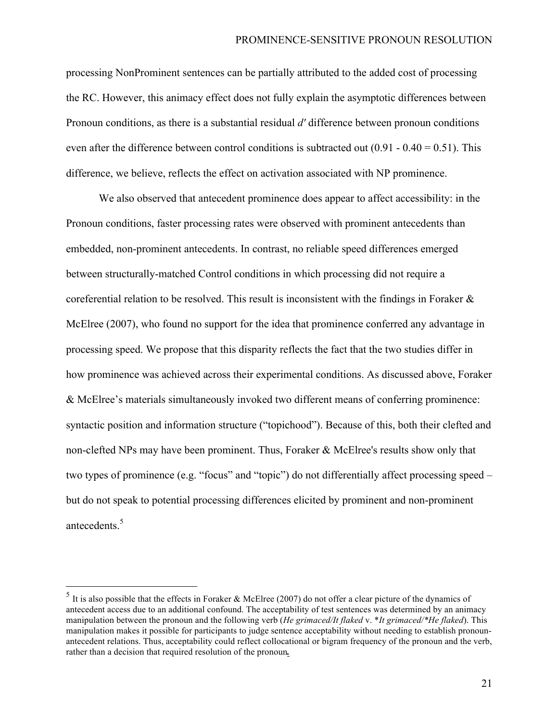processing NonProminent sentences can be partially attributed to the added cost of processing the RC. However, this animacy effect does not fully explain the asymptotic differences between Pronoun conditions, as there is a substantial residual *d'* difference between pronoun conditions even after the difference between control conditions is subtracted out  $(0.91 - 0.40 = 0.51)$ . This difference, we believe, reflects the effect on activation associated with NP prominence.

We also observed that antecedent prominence does appear to affect accessibility: in the Pronoun conditions, faster processing rates were observed with prominent antecedents than embedded, non-prominent antecedents. In contrast, no reliable speed differences emerged between structurally-matched Control conditions in which processing did not require a coreferential relation to be resolved. This result is inconsistent with the findings in Foraker  $\&$ McElree (2007), who found no support for the idea that prominence conferred any advantage in processing speed. We propose that this disparity reflects the fact that the two studies differ in how prominence was achieved across their experimental conditions. As discussed above, Foraker & McElree's materials simultaneously invoked two different means of conferring prominence: syntactic position and information structure ("topichood"). Because of this, both their clefted and non-clefted NPs may have been prominent. Thus, Foraker & McElree's results show only that two types of prominence (e.g. "focus" and "topic") do not differentially affect processing speed – but do not speak to potential processing differences elicited by prominent and non-prominent antecedents. 5

 $5$  It is also possible that the effects in Foraker & McElree (2007) do not offer a clear picture of the dynamics of antecedent access due to an additional confound. The acceptability of test sentences was determined by an animacy manipulation between the pronoun and the following verb (*He grimaced/It flaked* v. \**It grimaced/\*He flaked*). This manipulation makes it possible for participants to judge sentence acceptability without needing to establish pronounantecedent relations. Thus, acceptability could reflect collocational or bigram frequency of the pronoun and the verb, rather than a decision that required resolution of the pronoun*.*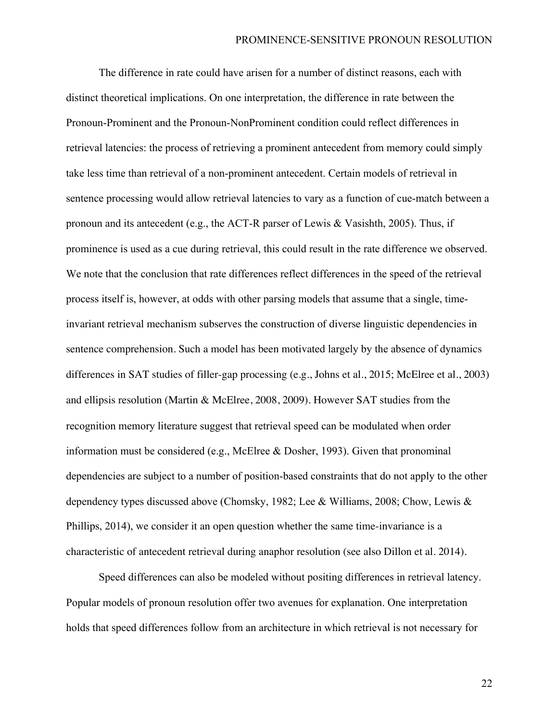The difference in rate could have arisen for a number of distinct reasons, each with distinct theoretical implications. On one interpretation, the difference in rate between the Pronoun-Prominent and the Pronoun-NonProminent condition could reflect differences in retrieval latencies: the process of retrieving a prominent antecedent from memory could simply take less time than retrieval of a non-prominent antecedent. Certain models of retrieval in sentence processing would allow retrieval latencies to vary as a function of cue-match between a pronoun and its antecedent (e.g., the ACT-R parser of Lewis & Vasishth, 2005). Thus, if prominence is used as a cue during retrieval, this could result in the rate difference we observed. We note that the conclusion that rate differences reflect differences in the speed of the retrieval process itself is, however, at odds with other parsing models that assume that a single, timeinvariant retrieval mechanism subserves the construction of diverse linguistic dependencies in sentence comprehension. Such a model has been motivated largely by the absence of dynamics differences in SAT studies of filler-gap processing (e.g., Johns et al., 2015; McElree et al., 2003) and ellipsis resolution (Martin & McElree, 2008, 2009). However SAT studies from the recognition memory literature suggest that retrieval speed can be modulated when order information must be considered (e.g., McElree & Dosher, 1993). Given that pronominal dependencies are subject to a number of position-based constraints that do not apply to the other dependency types discussed above (Chomsky, 1982; Lee & Williams, 2008; Chow, Lewis & Phillips, 2014), we consider it an open question whether the same time-invariance is a characteristic of antecedent retrieval during anaphor resolution (see also Dillon et al. 2014).

Speed differences can also be modeled without positing differences in retrieval latency. Popular models of pronoun resolution offer two avenues for explanation. One interpretation holds that speed differences follow from an architecture in which retrieval is not necessary for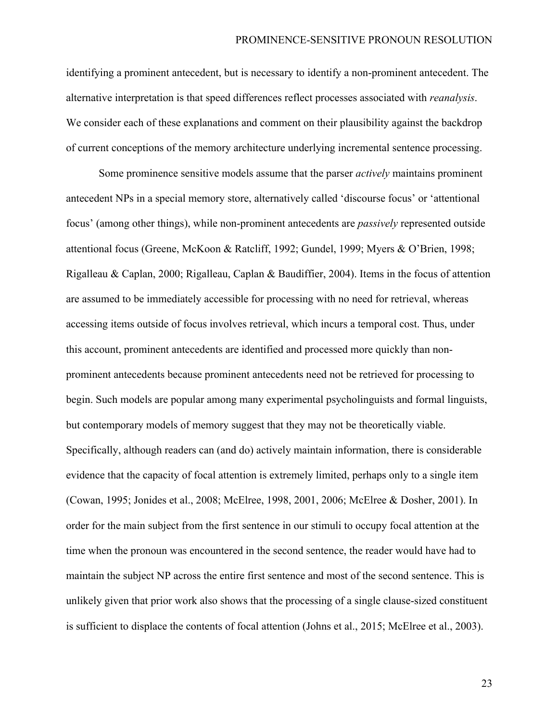identifying a prominent antecedent, but is necessary to identify a non-prominent antecedent. The alternative interpretation is that speed differences reflect processes associated with *reanalysis*. We consider each of these explanations and comment on their plausibility against the backdrop of current conceptions of the memory architecture underlying incremental sentence processing.

Some prominence sensitive models assume that the parser *actively* maintains prominent antecedent NPs in a special memory store, alternatively called 'discourse focus' or 'attentional focus' (among other things), while non-prominent antecedents are *passively* represented outside attentional focus (Greene, McKoon & Ratcliff, 1992; Gundel, 1999; Myers & O'Brien, 1998; Rigalleau & Caplan, 2000; Rigalleau, Caplan & Baudiffier, 2004). Items in the focus of attention are assumed to be immediately accessible for processing with no need for retrieval, whereas accessing items outside of focus involves retrieval, which incurs a temporal cost. Thus, under this account, prominent antecedents are identified and processed more quickly than nonprominent antecedents because prominent antecedents need not be retrieved for processing to begin. Such models are popular among many experimental psycholinguists and formal linguists, but contemporary models of memory suggest that they may not be theoretically viable. Specifically, although readers can (and do) actively maintain information, there is considerable evidence that the capacity of focal attention is extremely limited, perhaps only to a single item (Cowan, 1995; Jonides et al., 2008; McElree, 1998, 2001, 2006; McElree & Dosher, 2001). In order for the main subject from the first sentence in our stimuli to occupy focal attention at the time when the pronoun was encountered in the second sentence, the reader would have had to maintain the subject NP across the entire first sentence and most of the second sentence. This is unlikely given that prior work also shows that the processing of a single clause-sized constituent is sufficient to displace the contents of focal attention (Johns et al., 2015; McElree et al., 2003).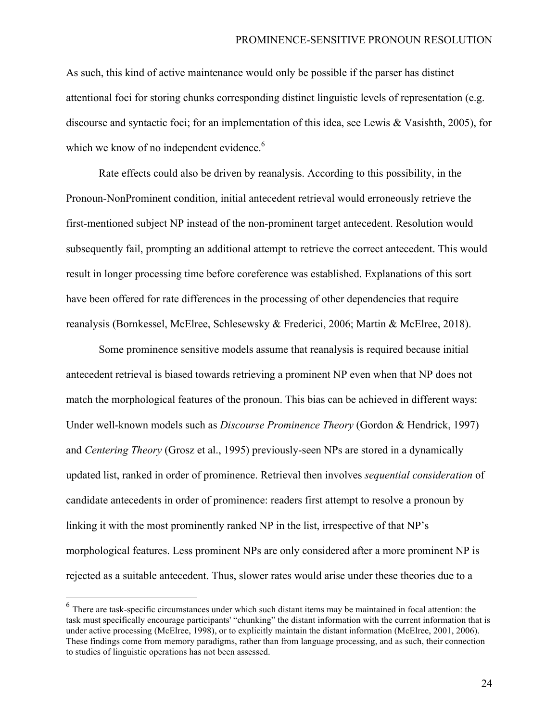As such, this kind of active maintenance would only be possible if the parser has distinct attentional foci for storing chunks corresponding distinct linguistic levels of representation (e.g. discourse and syntactic foci; for an implementation of this idea, see Lewis & Vasishth, 2005), for which we know of no independent evidence.<sup>6</sup>

Rate effects could also be driven by reanalysis. According to this possibility, in the Pronoun-NonProminent condition, initial antecedent retrieval would erroneously retrieve the first-mentioned subject NP instead of the non-prominent target antecedent. Resolution would subsequently fail, prompting an additional attempt to retrieve the correct antecedent. This would result in longer processing time before coreference was established. Explanations of this sort have been offered for rate differences in the processing of other dependencies that require reanalysis (Bornkessel, McElree, Schlesewsky & Frederici, 2006; Martin & McElree, 2018).

Some prominence sensitive models assume that reanalysis is required because initial antecedent retrieval is biased towards retrieving a prominent NP even when that NP does not match the morphological features of the pronoun. This bias can be achieved in different ways: Under well-known models such as *Discourse Prominence Theory* (Gordon & Hendrick, 1997) and *Centering Theory* (Grosz et al., 1995) previously-seen NPs are stored in a dynamically updated list, ranked in order of prominence. Retrieval then involves *sequential consideration* of candidate antecedents in order of prominence: readers first attempt to resolve a pronoun by linking it with the most prominently ranked NP in the list, irrespective of that NP's morphological features. Less prominent NPs are only considered after a more prominent NP is rejected as a suitable antecedent. Thus, slower rates would arise under these theories due to a

 <sup>6</sup> There are task-specific circumstances under which such distant items may be maintained in focal attention: the task must specifically encourage participants' "chunking" the distant information with the current information that is under active processing (McElree, 1998), or to explicitly maintain the distant information (McElree, 2001, 2006). These findings come from memory paradigms, rather than from language processing, and as such, their connection to studies of linguistic operations has not been assessed.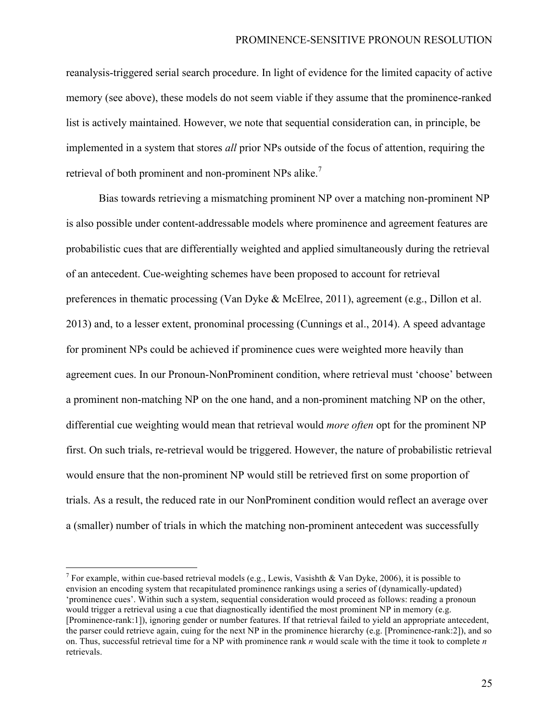reanalysis-triggered serial search procedure. In light of evidence for the limited capacity of active memory (see above), these models do not seem viable if they assume that the prominence-ranked list is actively maintained. However, we note that sequential consideration can, in principle, be implemented in a system that stores *all* prior NPs outside of the focus of attention, requiring the retrieval of both prominent and non-prominent NPs alike.<sup>7</sup>

Bias towards retrieving a mismatching prominent NP over a matching non-prominent NP is also possible under content-addressable models where prominence and agreement features are probabilistic cues that are differentially weighted and applied simultaneously during the retrieval of an antecedent. Cue-weighting schemes have been proposed to account for retrieval preferences in thematic processing (Van Dyke & McElree, 2011), agreement (e.g., Dillon et al. 2013) and, to a lesser extent, pronominal processing (Cunnings et al., 2014). A speed advantage for prominent NPs could be achieved if prominence cues were weighted more heavily than agreement cues. In our Pronoun-NonProminent condition, where retrieval must 'choose' between a prominent non-matching NP on the one hand, and a non-prominent matching NP on the other, differential cue weighting would mean that retrieval would *more often* opt for the prominent NP first. On such trials, re-retrieval would be triggered. However, the nature of probabilistic retrieval would ensure that the non-prominent NP would still be retrieved first on some proportion of trials. As a result, the reduced rate in our NonProminent condition would reflect an average over a (smaller) number of trials in which the matching non-prominent antecedent was successfully

<sup>&</sup>lt;sup>7</sup> For example, within cue-based retrieval models (e.g., Lewis, Vasishth & Van Dyke, 2006), it is possible to envision an encoding system that recapitulated prominence rankings using a series of (dynamically-updated) 'prominence cues'. Within such a system, sequential consideration would proceed as follows: reading a pronoun would trigger a retrieval using a cue that diagnostically identified the most prominent NP in memory (e.g. [Prominence-rank:1]), ignoring gender or number features. If that retrieval failed to yield an appropriate antecedent, the parser could retrieve again, cuing for the next NP in the prominence hierarchy (e.g. [Prominence-rank:2]), and so on. Thus, successful retrieval time for a NP with prominence rank *n* would scale with the time it took to complete *n*  retrievals.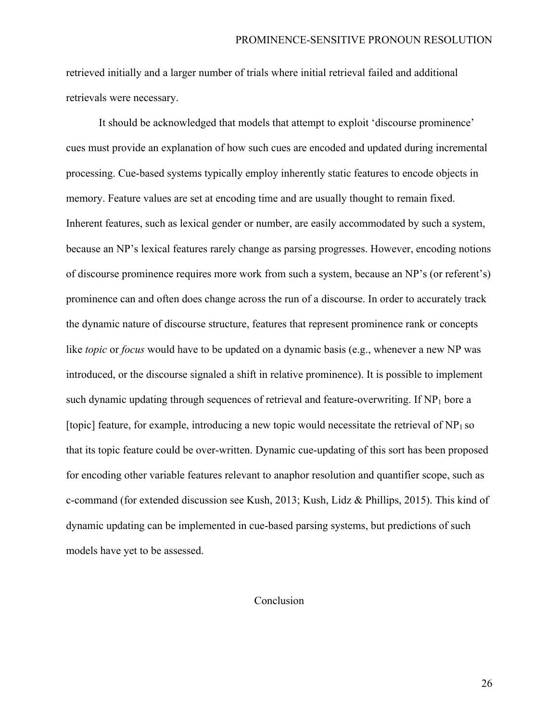retrieved initially and a larger number of trials where initial retrieval failed and additional retrievals were necessary.

It should be acknowledged that models that attempt to exploit 'discourse prominence' cues must provide an explanation of how such cues are encoded and updated during incremental processing. Cue-based systems typically employ inherently static features to encode objects in memory. Feature values are set at encoding time and are usually thought to remain fixed. Inherent features, such as lexical gender or number, are easily accommodated by such a system, because an NP's lexical features rarely change as parsing progresses. However, encoding notions of discourse prominence requires more work from such a system, because an NP's (or referent's) prominence can and often does change across the run of a discourse. In order to accurately track the dynamic nature of discourse structure, features that represent prominence rank or concepts like *topic* or *focus* would have to be updated on a dynamic basis (e.g., whenever a new NP was introduced, or the discourse signaled a shift in relative prominence). It is possible to implement such dynamic updating through sequences of retrieval and feature-overwriting. If  $NP<sub>1</sub>$  bore a [topic] feature, for example, introducing a new topic would necessitate the retrieval of  $NP<sub>1</sub>$  so that its topic feature could be over-written. Dynamic cue-updating of this sort has been proposed for encoding other variable features relevant to anaphor resolution and quantifier scope, such as c-command (for extended discussion see Kush, 2013; Kush, Lidz & Phillips, 2015). This kind of dynamic updating can be implemented in cue-based parsing systems, but predictions of such models have yet to be assessed.

### Conclusion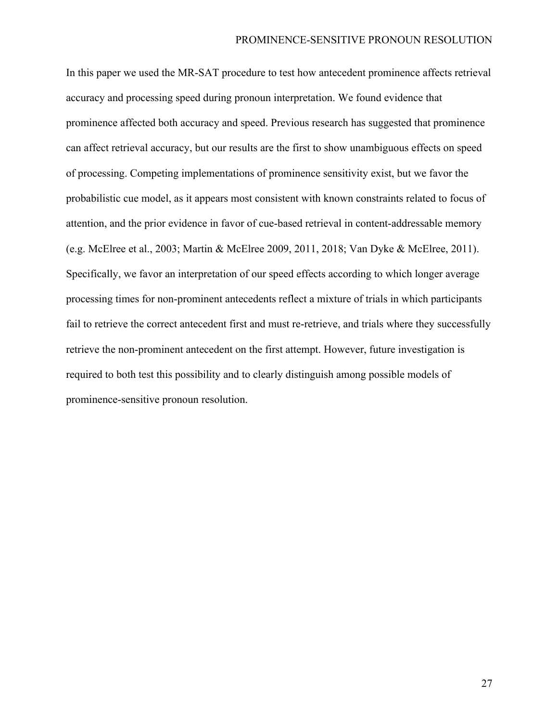In this paper we used the MR-SAT procedure to test how antecedent prominence affects retrieval accuracy and processing speed during pronoun interpretation. We found evidence that prominence affected both accuracy and speed. Previous research has suggested that prominence can affect retrieval accuracy, but our results are the first to show unambiguous effects on speed of processing. Competing implementations of prominence sensitivity exist, but we favor the probabilistic cue model, as it appears most consistent with known constraints related to focus of attention, and the prior evidence in favor of cue-based retrieval in content-addressable memory (e.g. McElree et al., 2003; Martin & McElree 2009, 2011, 2018; Van Dyke & McElree, 2011). Specifically, we favor an interpretation of our speed effects according to which longer average processing times for non-prominent antecedents reflect a mixture of trials in which participants fail to retrieve the correct antecedent first and must re-retrieve, and trials where they successfully retrieve the non-prominent antecedent on the first attempt. However, future investigation is required to both test this possibility and to clearly distinguish among possible models of prominence-sensitive pronoun resolution.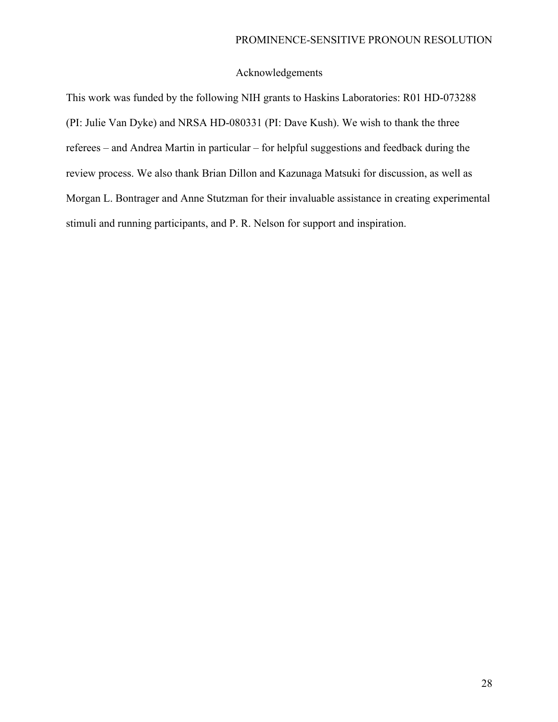#### PROMINENCE-SENSITIVE PRONOUN RESOLUTION

# Acknowledgements

This work was funded by the following NIH grants to Haskins Laboratories: R01 HD-073288 (PI: Julie Van Dyke) and NRSA HD-080331 (PI: Dave Kush). We wish to thank the three referees – and Andrea Martin in particular – for helpful suggestions and feedback during the review process. We also thank Brian Dillon and Kazunaga Matsuki for discussion, as well as Morgan L. Bontrager and Anne Stutzman for their invaluable assistance in creating experimental stimuli and running participants, and P. R. Nelson for support and inspiration.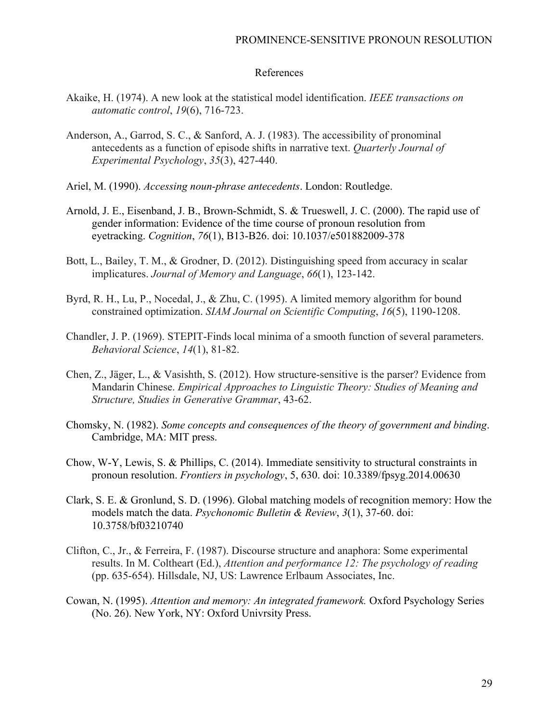## References

- Akaike, H. (1974). A new look at the statistical model identification. *IEEE transactions on automatic control*, *19*(6), 716-723.
- Anderson, A., Garrod, S. C., & Sanford, A. J. (1983). The accessibility of pronominal antecedents as a function of episode shifts in narrative text. *Quarterly Journal of Experimental Psychology*, *35*(3), 427-440.
- Ariel, M. (1990). *Accessing noun-phrase antecedents*. London: Routledge.
- Arnold, J. E., Eisenband, J. B., Brown-Schmidt, S. & Trueswell, J. C. (2000). The rapid use of gender information: Evidence of the time course of pronoun resolution from eyetracking. *Cognition*, *76*(1), B13-B26. doi: 10.1037/e501882009-378
- Bott, L., Bailey, T. M., & Grodner, D. (2012). Distinguishing speed from accuracy in scalar implicatures. *Journal of Memory and Language*, *66*(1), 123-142.
- Byrd, R. H., Lu, P., Nocedal, J., & Zhu, C. (1995). A limited memory algorithm for bound constrained optimization. *SIAM Journal on Scientific Computing*, *16*(5), 1190-1208.
- Chandler, J. P. (1969). STEPIT-Finds local minima of a smooth function of several parameters. *Behavioral Science*, *14*(1), 81-82.
- Chen, Z., Jäger, L., & Vasishth, S. (2012). How structure-sensitive is the parser? Evidence from Mandarin Chinese. *Empirical Approaches to Linguistic Theory: Studies of Meaning and Structure, Studies in Generative Grammar*, 43-62.
- Chomsky, N. (1982). *Some concepts and consequences of the theory of government and binding*. Cambridge, MA: MIT press.
- Chow, W-Y, Lewis, S. & Phillips, C. (2014). Immediate sensitivity to structural constraints in pronoun resolution. *Frontiers in psychology*, 5, 630. doi: 10.3389/fpsyg.2014.00630
- Clark, S. E. & Gronlund, S. D. (1996). Global matching models of recognition memory: How the models match the data. *Psychonomic Bulletin & Review*, *3*(1), 37-60. doi: 10.3758/bf03210740
- Clifton, C., Jr., & Ferreira, F. (1987). Discourse structure and anaphora: Some experimental results. In M. Coltheart (Ed.), *Attention and performance 12: The psychology of reading* (pp. 635-654). Hillsdale, NJ, US: Lawrence Erlbaum Associates, Inc.
- Cowan, N. (1995). *Attention and memory: An integrated framework.* Oxford Psychology Series (No. 26). New York, NY: Oxford Univrsity Press.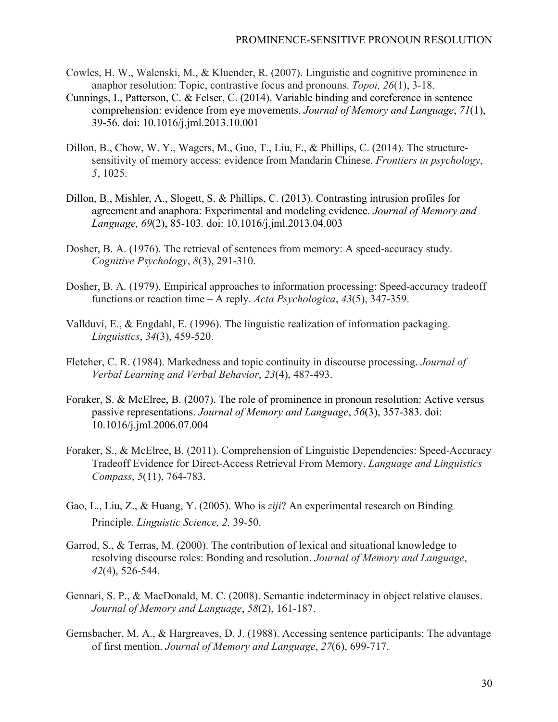- Cowles, H. W., Walenski, M., & Kluender, R. (2007). Linguistic and cognitive prominence in anaphor resolution: Topic, contrastive focus and pronouns. *Topoi, 26*(1), 3-18.
- Cunnings, I., Patterson, C. & Felser, C. (2014). Variable binding and coreference in sentence comprehension: evidence from eye movements. *Journal of Memory and Language*, *71*(1), 39-56. doi: 10.1016/j.jml.2013.10.001
- Dillon, B., Chow, W. Y., Wagers, M., Guo, T., Liu, F., & Phillips, C. (2014). The structuresensitivity of memory access: evidence from Mandarin Chinese. *Frontiers in psychology*, *5*, 1025.
- Dillon, B., Mishler, A., Slogett, S. & Phillips, C. (2013). Contrasting intrusion profiles for agreement and anaphora: Experimental and modeling evidence. *Journal of Memory and Language, 69*(2), 85-103*.* doi: 10.1016/j.jml.2013.04.003
- Dosher, B. A. (1976). The retrieval of sentences from memory: A speed-accuracy study. *Cognitive Psychology*, *8*(3), 291-310.
- Dosher, B. A. (1979). Empirical approaches to information processing: Speed-accuracy tradeoff functions or reaction time – A reply. *Acta Psychologica*, *43*(5), 347-359.
- Vallduví, E., & Engdahl, E. (1996). The linguistic realization of information packaging. *Linguistics*, *34*(3), 459-520.
- Fletcher, C. R. (1984). Markedness and topic continuity in discourse processing. *Journal of Verbal Learning and Verbal Behavior*, *23*(4), 487-493.
- Foraker, S. & McElree, B. (2007). The role of prominence in pronoun resolution: Active versus passive representations. *Journal of Memory and Language*, *56*(3), 357-383. doi: 10.1016/j.jml.2006.07.004
- Foraker, S., & McElree, B. (2011). Comprehension of Linguistic Dependencies: Speed-Accuracy Tradeoff Evidence for Direct-Access Retrieval From Memory. *Language and Linguistics Compass*, *5*(11), 764-783.
- Gao, L., Liu, Z., & Huang, Y. (2005). Who is *ziji*? An experimental research on Binding Principle. *Linguistic Science, 2,* 39-50.
- Garrod, S., & Terras, M. (2000). The contribution of lexical and situational knowledge to resolving discourse roles: Bonding and resolution. *Journal of Memory and Language*, *42*(4), 526-544.
- Gennari, S. P., & MacDonald, M. C. (2008). Semantic indeterminacy in object relative clauses. *Journal of Memory and Language*, *58*(2), 161-187.
- Gernsbacher, M. A., & Hargreaves, D. J. (1988). Accessing sentence participants: The advantage of first mention. *Journal of Memory and Language*, *27*(6), 699-717.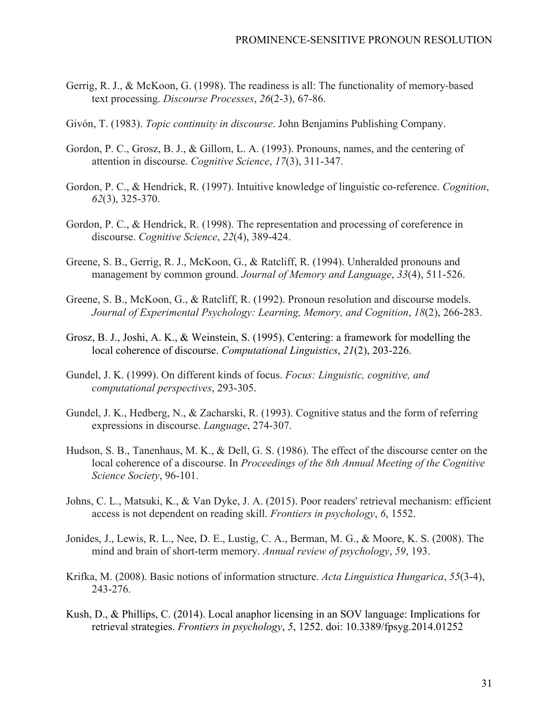- Gerrig, R. J., & McKoon, G. (1998). The readiness is all: The functionality of memory-based text processing. *Discourse Processes*, *26*(2-3), 67-86.
- Givón, T. (1983). *Topic continuity in discourse*. John Benjamins Publishing Company.
- Gordon, P. C., Grosz, B. J., & Gillom, L. A. (1993). Pronouns, names, and the centering of attention in discourse. *Cognitive Science*, *17*(3), 311-347.
- Gordon, P. C., & Hendrick, R. (1997). Intuitive knowledge of linguistic co-reference. *Cognition*, *62*(3), 325-370.
- Gordon, P. C., & Hendrick, R. (1998). The representation and processing of coreference in discourse. *Cognitive Science*, *22*(4), 389-424.
- Greene, S. B., Gerrig, R. J., McKoon, G., & Ratcliff, R. (1994). Unheralded pronouns and management by common ground. *Journal of Memory and Language*, *33*(4), 511-526.
- Greene, S. B., McKoon, G., & Ratcliff, R. (1992). Pronoun resolution and discourse models. *Journal of Experimental Psychology: Learning, Memory, and Cognition*, *18*(2), 266-283.
- Grosz, B. J., Joshi, A. K., & Weinstein, S. (1995). Centering: a framework for modelling the local coherence of discourse. *Computational Linguistics*, *21*(2), 203-226.
- Gundel, J. K. (1999). On different kinds of focus. *Focus: Linguistic, cognitive, and computational perspectives*, 293-305.
- Gundel, J. K., Hedberg, N., & Zacharski, R. (1993). Cognitive status and the form of referring expressions in discourse. *Language*, 274-307.
- Hudson, S. B., Tanenhaus, M. K., & Dell, G. S. (1986). The effect of the discourse center on the local coherence of a discourse. In *Proceedings of the 8th Annual Meeting of the Cognitive Science Society*, 96-101.
- Johns, C. L., Matsuki, K., & Van Dyke, J. A. (2015). Poor readers' retrieval mechanism: efficient access is not dependent on reading skill. *Frontiers in psychology*, *6*, 1552.
- Jonides, J., Lewis, R. L., Nee, D. E., Lustig, C. A., Berman, M. G., & Moore, K. S. (2008). The mind and brain of short-term memory. *Annual review of psychology*, *59*, 193.
- Krifka, M. (2008). Basic notions of information structure. *Acta Linguistica Hungarica*, *55*(3-4), 243-276.
- Kush, D., & Phillips, C. (2014). Local anaphor licensing in an SOV language: Implications for retrieval strategies. *Frontiers in psychology*, *5*, 1252. doi: 10.3389/fpsyg.2014.01252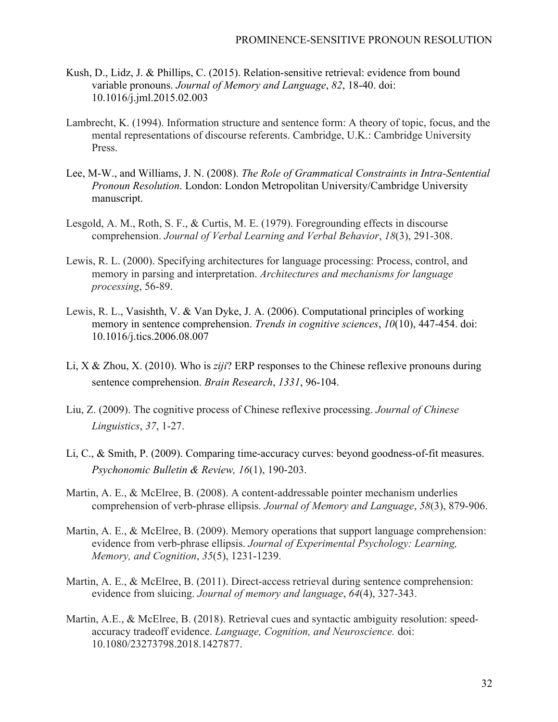- Kush, D., Lidz, J. & Phillips, C. (2015). Relation-sensitive retrieval: evidence from bound variable pronouns. *Journal of Memory and Language*, *82*, 18-40. doi: 10.1016/j.jml.2015.02.003
- Lambrecht, K. (1994). Information structure and sentence form: A theory of topic, focus, and the mental representations of discourse referents. Cambridge, U.K.: Cambridge University Press.
- Lee, M-W., and Williams, J. N. (2008). *The Role of Grammatical Constraints in Intra-Sentential Pronoun Resolution*. London: London Metropolitan University/Cambridge University manuscript.
- Lesgold, A. M., Roth, S. F., & Curtis, M. E. (1979). Foregrounding effects in discourse comprehension. *Journal of Verbal Learning and Verbal Behavior*, *18*(3), 291-308.
- Lewis, R. L. (2000). Specifying architectures for language processing: Process, control, and memory in parsing and interpretation. *Architectures and mechanisms for language processing*, 56-89.
- Lewis, R. L., Vasishth, V. & Van Dyke, J. A. (2006). Computational principles of working memory in sentence comprehension. *Trends in cognitive sciences*, *10*(10), 447-454. doi: 10.1016/j.tics.2006.08.007
- Li, X & Zhou, X. (2010). Who is *ziji*? ERP responses to the Chinese reflexive pronouns during sentence comprehension. *Brain Research*, *1331*, 96-104.
- Liu, Z. (2009). The cognitive process of Chinese reflexive processing. *Journal of Chinese Linguistics*, *37*, 1-27.
- Li, C., & Smith, P. (2009). Comparing time-accuracy curves: beyond goodness-of-fit measures. *Psychonomic Bulletin & Review, 16*(1), 190-203.
- Martin, A. E., & McElree, B. (2008). A content-addressable pointer mechanism underlies comprehension of verb-phrase ellipsis. *Journal of Memory and Language*, *58*(3), 879-906.
- Martin, A. E., & McElree, B. (2009). Memory operations that support language comprehension: evidence from verb-phrase ellipsis. *Journal of Experimental Psychology: Learning, Memory, and Cognition*, *35*(5), 1231-1239.
- Martin, A. E., & McElree, B. (2011). Direct-access retrieval during sentence comprehension: evidence from sluicing. *Journal of memory and language*, *64*(4), 327-343.
- Martin, A.E., & McElree, B. (2018). Retrieval cues and syntactic ambiguity resolution: speedaccuracy tradeoff evidence. *Language, Cognition, and Neuroscience.* doi: 10.1080/23273798.2018.1427877.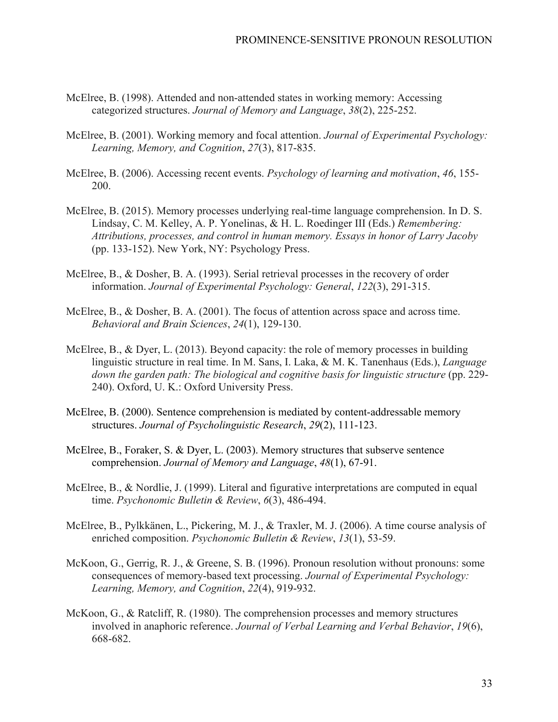- McElree, B. (1998). Attended and non-attended states in working memory: Accessing categorized structures. *Journal of Memory and Language*, *38*(2), 225-252.
- McElree, B. (2001). Working memory and focal attention. *Journal of Experimental Psychology: Learning, Memory, and Cognition*, *27*(3), 817-835.
- McElree, B. (2006). Accessing recent events. *Psychology of learning and motivation*, *46*, 155- 200.
- McElree, B. (2015). Memory processes underlying real-time language comprehension. In D. S. Lindsay, C. M. Kelley, A. P. Yonelinas, & H. L. Roedinger III (Eds.) *Remembering: Attributions, processes, and control in human memory. Essays in honor of Larry Jacoby* (pp. 133-152). New York, NY: Psychology Press.
- McElree, B., & Dosher, B. A. (1993). Serial retrieval processes in the recovery of order information. *Journal of Experimental Psychology: General*, *122*(3), 291-315.
- McElree, B., & Dosher, B. A. (2001). The focus of attention across space and across time. *Behavioral and Brain Sciences*, *24*(1), 129-130.
- McElree, B., & Dyer, L. (2013). Beyond capacity: the role of memory processes in building linguistic structure in real time. In M. Sans, I. Laka, & M. K. Tanenhaus (Eds.), *Language*  down the garden path: The biological and cognitive basis for linguistic structure (pp. 229-240). Oxford, U. K.: Oxford University Press.
- McElree, B. (2000). Sentence comprehension is mediated by content-addressable memory structures. *Journal of Psycholinguistic Research*, *29*(2), 111-123.
- McElree, B., Foraker, S. & Dyer, L. (2003). Memory structures that subserve sentence comprehension. *Journal of Memory and Language*, *48*(1), 67-91.
- McElree, B., & Nordlie, J. (1999). Literal and figurative interpretations are computed in equal time. *Psychonomic Bulletin & Review*, *6*(3), 486-494.
- McElree, B., Pylkkänen, L., Pickering, M. J., & Traxler, M. J. (2006). A time course analysis of enriched composition. *Psychonomic Bulletin & Review*, *13*(1), 53-59.
- McKoon, G., Gerrig, R. J., & Greene, S. B. (1996). Pronoun resolution without pronouns: some consequences of memory-based text processing. *Journal of Experimental Psychology: Learning, Memory, and Cognition*, *22*(4), 919-932.
- McKoon, G., & Ratcliff, R. (1980). The comprehension processes and memory structures involved in anaphoric reference. *Journal of Verbal Learning and Verbal Behavior*, *19*(6), 668-682.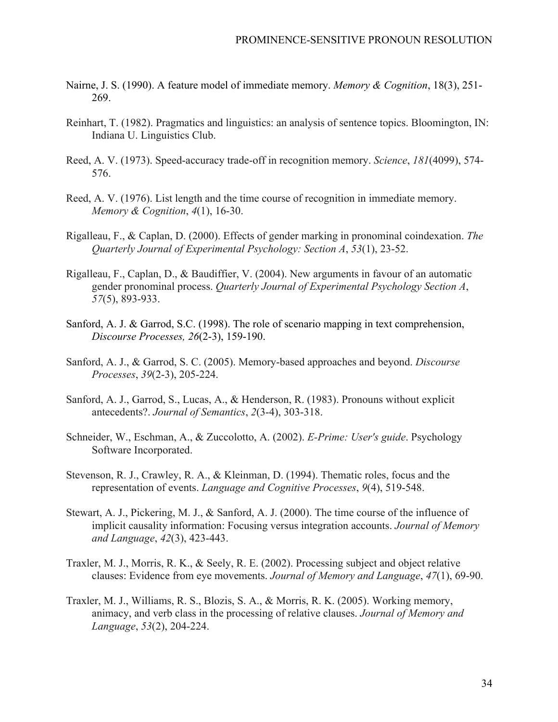- Nairne, J. S. (1990). A feature model of immediate memory. *Memory & Cognition*, 18(3), 251- 269.
- Reinhart, T. (1982). Pragmatics and linguistics: an analysis of sentence topics. Bloomington, IN: Indiana U. Linguistics Club.
- Reed, A. V. (1973). Speed-accuracy trade-off in recognition memory. *Science*, *181*(4099), 574- 576.
- Reed, A. V. (1976). List length and the time course of recognition in immediate memory. *Memory & Cognition*, *4*(1), 16-30.
- Rigalleau, F., & Caplan, D. (2000). Effects of gender marking in pronominal coindexation. *The Quarterly Journal of Experimental Psychology: Section A*, *53*(1), 23-52.
- Rigalleau, F., Caplan, D., & Baudiffier, V. (2004). New arguments in favour of an automatic gender pronominal process. *Quarterly Journal of Experimental Psychology Section A*, *57*(5), 893-933.
- Sanford, A. J. & Garrod, S.C. (1998). The role of scenario mapping in text comprehension, *Discourse Processes, 26*(2-3), 159-190.
- Sanford, A. J., & Garrod, S. C. (2005). Memory-based approaches and beyond. *Discourse Processes*, *39*(2-3), 205-224.
- Sanford, A. J., Garrod, S., Lucas, A., & Henderson, R. (1983). Pronouns without explicit antecedents?. *Journal of Semantics*, *2*(3-4), 303-318.
- Schneider, W., Eschman, A., & Zuccolotto, A. (2002). *E-Prime: User's guide*. Psychology Software Incorporated.
- Stevenson, R. J., Crawley, R. A., & Kleinman, D. (1994). Thematic roles, focus and the representation of events. *Language and Cognitive Processes*, *9*(4), 519-548.
- Stewart, A. J., Pickering, M. J., & Sanford, A. J. (2000). The time course of the influence of implicit causality information: Focusing versus integration accounts. *Journal of Memory and Language*, *42*(3), 423-443.
- Traxler, M. J., Morris, R. K., & Seely, R. E. (2002). Processing subject and object relative clauses: Evidence from eye movements. *Journal of Memory and Language*, *47*(1), 69-90.
- Traxler, M. J., Williams, R. S., Blozis, S. A., & Morris, R. K. (2005). Working memory, animacy, and verb class in the processing of relative clauses. *Journal of Memory and Language*, *53*(2), 204-224.